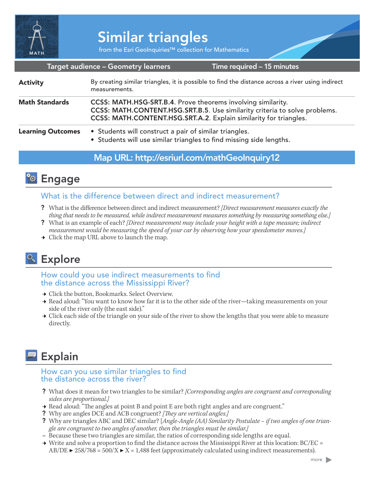

from the Esri GeoInquiries™ collection for Mathematics

#### Target audience – Geometry learners

Time required – 15 minutes

| <b>Activity</b>          | By creating similar triangles, it is possible to find the distance across a river using indirect<br>measurements.                                                                                               |
|--------------------------|-----------------------------------------------------------------------------------------------------------------------------------------------------------------------------------------------------------------|
| <b>Math Standards</b>    | CCSS: MATH.HSG-SRT.B.4. Prove theorems involving similarity.<br>CCSS: MATH.CONTENT.HSG.SRT.B.5. Use similarity criteria to solve problems.<br>CCSS: MATH.CONTENT.HSG.SRT.A.2. Explain similarity for triangles. |
| <b>Learning Outcomes</b> | • Students will construct a pair of similar triangles.<br>• Students will use similar triangles to find missing side lengths.                                                                                   |

### Map URL: http://esriurl.com/mathGeoInquiry12

## **<b>Ro** Engage

#### What is the difference between direct and indirect measurement?

- ? What is the difference between direct and indirect measurement? *[Direct measurement measures exactly the thing that needs to be measured, while indirect measurement measures something by measuring something else.]*
- ? What is an example of each? *[Direct measurement may include your height with a tape measure; indirect measurement would be measuring the speed of your car by observing how your speedometer moves.]*
- $\rightarrow$  Click the map URL above to launch the map.

# <sup>o</sup> Explore

How could you use indirect measurements to find the distance across the Mississippi River?

- **→ Click the button, Bookmarks. Select Overview.**
- → Read aloud: "You want to know how far it is to the other side of the river—taking measurements on your side of the river only (the east side)."
- → Click each side of the triangle on your side of the river to show the lengths that you were able to measure directly.

# **Explain**

#### How can you use similar triangles to find the distance across the river?

- ? What does it mean for two triangles to be similar? *[Corresponding angles are congruent and corresponding sides are proportional.]*
- **→** Read aloud: "The angles at point B and point E are both right angles and are congruent."
- ? Why are angles DCE and ACB congruent? *[They are vertical angles.]*
- ? Why are triangles ABC and DEC similar? [*Angle-Angle (AA) Similarity Postulate if two angles of one triangle are congruent to two angles of another, then the triangles must be similar.]*
- **–** Because these two triangles are similar, the ratios of corresponding side lengths are equal.
- $\rightarrow$  Write and solve a proportion to find the distance across the Mississippi River at this location: BC/EC =  $AB/DE \triangleright 258/768 = 500/X \triangleright X = 1,488$  feet (approximately calculated using indirect measurements).